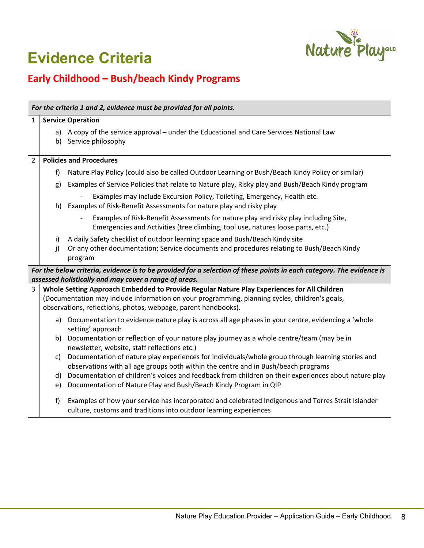

## **Evidence Criteria**

## **Early Childhood – Bush/beach Kindy Programs**

| For the criteria 1 and 2, evidence must be provided for all points.                                                                                                           |                                                                                             |                                                                                                                                                                                         |  |  |
|-------------------------------------------------------------------------------------------------------------------------------------------------------------------------------|---------------------------------------------------------------------------------------------|-----------------------------------------------------------------------------------------------------------------------------------------------------------------------------------------|--|--|
| 1                                                                                                                                                                             | <b>Service Operation</b>                                                                    |                                                                                                                                                                                         |  |  |
|                                                                                                                                                                               |                                                                                             | a) A copy of the service approval – under the Educational and Care Services National Law<br>b) Service philosophy                                                                       |  |  |
| $\overline{2}$                                                                                                                                                                |                                                                                             | <b>Policies and Procedures</b>                                                                                                                                                          |  |  |
|                                                                                                                                                                               | f)                                                                                          | Nature Play Policy (could also be called Outdoor Learning or Bush/Beach Kindy Policy or similar)                                                                                        |  |  |
|                                                                                                                                                                               | g)                                                                                          | Examples of Service Policies that relate to Nature play, Risky play and Bush/Beach Kindy program                                                                                        |  |  |
|                                                                                                                                                                               | h)                                                                                          | Examples may include Excursion Policy, Toileting, Emergency, Health etc.<br>Examples of Risk-Benefit Assessments for nature play and risky play                                         |  |  |
|                                                                                                                                                                               |                                                                                             | Examples of Risk-Benefit Assessments for nature play and risky play including Site,<br>Emergencies and Activities (tree climbing, tool use, natures loose parts, etc.)                  |  |  |
|                                                                                                                                                                               | i)<br>j)                                                                                    | A daily Safety checklist of outdoor learning space and Bush/Beach Kindy site<br>Or any other documentation; Service documents and procedures relating to Bush/Beach Kindy<br>program    |  |  |
| For the below criteria, evidence is to be provided for a selection of these points in each category. The evidence is<br>assessed holistically and may cover a range of areas. |                                                                                             |                                                                                                                                                                                         |  |  |
| 3                                                                                                                                                                             | Whole Setting Approach Embedded to Provide Regular Nature Play Experiences for All Children |                                                                                                                                                                                         |  |  |
|                                                                                                                                                                               |                                                                                             | (Documentation may include information on your programming, planning cycles, children's goals,<br>observations, reflections, photos, webpage, parent handbooks).                        |  |  |
|                                                                                                                                                                               |                                                                                             | a) Documentation to evidence nature play is across all age phases in your centre, evidencing a 'whole<br>setting' approach                                                              |  |  |
|                                                                                                                                                                               | b)                                                                                          | Documentation or reflection of your nature play journey as a whole centre/team (may be in<br>newsletter, website, staff reflections etc.)                                               |  |  |
|                                                                                                                                                                               | c)                                                                                          | Documentation of nature play experiences for individuals/whole group through learning stories and<br>observations with all age groups both within the centre and in Bush/beach programs |  |  |
|                                                                                                                                                                               | d)                                                                                          | Documentation of children's voices and feedback from children on their experiences about nature play                                                                                    |  |  |
|                                                                                                                                                                               | e)                                                                                          | Documentation of Nature Play and Bush/Beach Kindy Program in QIP                                                                                                                        |  |  |
|                                                                                                                                                                               | f                                                                                           | Examples of how your service has incorporated and celebrated Indigenous and Torres Strait Islander<br>culture, customs and traditions into outdoor learning experiences                 |  |  |